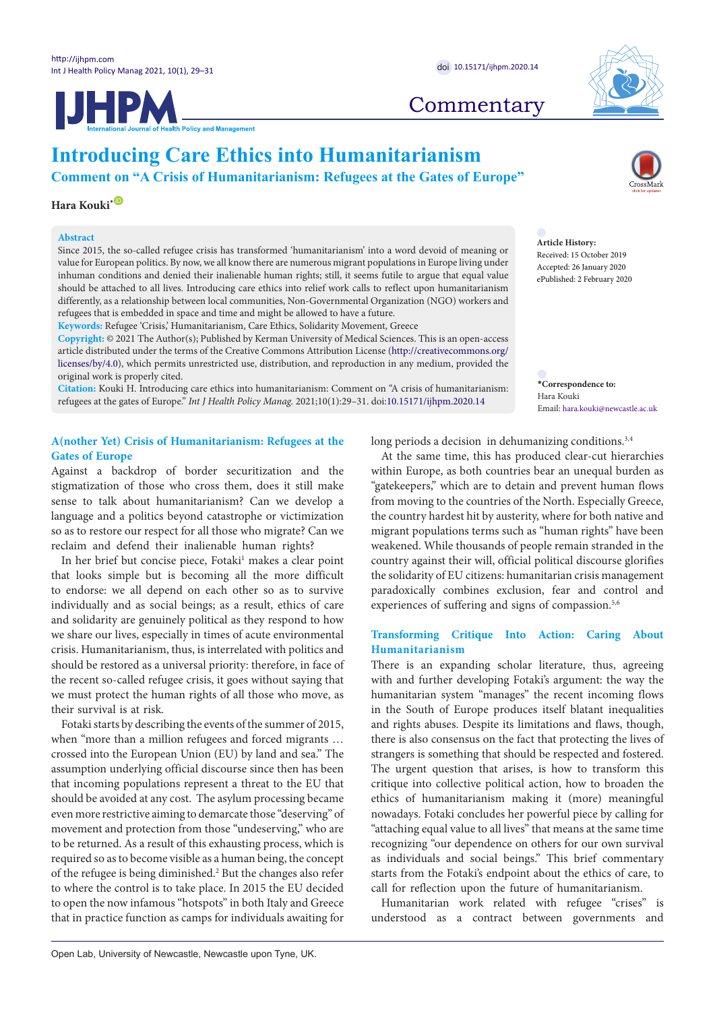



# **Introducing Care Ethics into Humanitarianism**

**Comment on "A Crisis of Humanitarianism: Refugees at the Gates of Europe"**

# **Hara Kouki**<sup>[\\*](#page-0-0)</sub></sup>

## **Abstract**

Since 2015, the so-called refugee crisis has transformed 'humanitarianism' into a word devoid of meaning or value for European politics. By now, we all know there are numerous migrant populations in Europe living under inhuman conditions and denied their inalienable human rights; still, it seems futile to argue that equal value should be attached to all lives. Introducing care ethics into relief work calls to reflect upon humanitarianism differently, as a relationship between local communities, Non-Governmental Organization (NGO) workers and refugees that is embedded in space and time and might be allowed to have a future.

**Keywords:** Refugee 'Crisis,' Humanitarianism, Care Ethics, Solidarity Movement, Greece

**Copyright:** © 2021 The Author(s); Published by Kerman University of Medical Sciences. This is an open-access article distributed under the terms of the Creative Commons Attribution License [\(http://creativecommons.org/](http://creativecommons.org/licenses/by/4.0) [licenses/by/4.0](http://creativecommons.org/licenses/by/4.0)), which permits unrestricted use, distribution, and reproduction in any medium, provided the original work is properly cited.

**Citation:** Kouki H. Introducing care ethics into humanitarianism: Comment on "A crisis of humanitarianism: refugees at the gates of Europe." *Int J Health Policy Manag.* 2021;10(1):29–31. doi[:10.15171/ijhpm.2020.14](https://doi.org/10.15171/ijhpm.2020.14)

## **A(nother Yet) Crisis of Humanitarianism: Refugees at the Gates of Europe**

Against a backdrop of border securitization and the stigmatization of those who cross them, does it still make sense to talk about humanitarianism? Can we develop a language and a politics beyond catastrophe or victimization so as to restore our respect for all those who migrate? Can we reclaim and defend their inalienable human rights?

In her brief but concise piece, Fotaki<sup>1</sup> makes a clear point that looks simple but is becoming all the more difficult to endorse: we all depend on each other so as to survive individually and as social beings; as a result, ethics of care and solidarity are genuinely political as they respond to how we share our lives, especially in times of acute environmental crisis. Humanitarianism, thus, is interrelated with politics and should be restored as a universal priority: therefore, in face of the recent so-called refugee crisis, it goes without saying that we must protect the human rights of all those who move, as their survival is at risk.

Fotaki starts by describing the events of the summer of 2015, when "more than a million refugees and forced migrants … crossed into the European Union (EU) by land and sea." The assumption underlying official discourse since then has been that incoming populations represent a threat to the EU that should be avoided at any cost. The asylum processing became even more restrictive aiming to demarcate those "deserving" of movement and protection from those "undeserving," who are to be returned. As a result of this exhausting process, which is required so as to become visible as a human being, the concept of the refugee is being diminished.<sup>2</sup> But the changes also refer to where the control is to take place. In 2015 the EU decided to open the now infamous "hotspots" in both Italy and Greece that in practice function as camps for individuals awaiting for long periods a decision in dehumanizing conditions.<sup>3,4</sup>

At the same time, this has produced clear-cut hierarchies within Europe, as both countries bear an unequal burden as "gatekeepers," which are to detain and prevent human flows from moving to the countries of the North. Especially Greece, the country hardest hit by austerity, where for both native and migrant populations terms such as "human rights" have been weakened. While thousands of people remain stranded in the country against their will, official political discourse glorifies the solidarity of EU citizens: humanitarian crisis management paradoxically combines exclusion, fear and control and experiences of suffering and signs of compassion.<sup>5,6</sup>

## **Transforming Critique Into Action: Caring About Humanitarianism**

There is an expanding scholar literature, thus, agreeing with and further developing Fotaki's argument: the way the humanitarian system "manages" the recent incoming flows in the South of Europe produces itself blatant inequalities and rights abuses. Despite its limitations and flaws, though, there is also consensus on the fact that protecting the lives of strangers is something that should be respected and fostered. The urgent question that arises, is how to transform this critique into collective political action, how to broaden the ethics of humanitarianism making it (more) meaningful nowadays. Fotaki concludes her powerful piece by calling for "attaching equal value to all lives" that means at the same time recognizing "our dependence on others for our own survival as individuals and social beings." This brief commentary starts from the Fotaki's endpoint about the ethics of care, to call for reflection upon the future of humanitarianism.

Humanitarian work related with refugee "crises" is understood as a contract between governments and





#### **Article History:** Received: 15 October 2019 Accepted: 26 January 2020 ePublished: 2 February 2020

<span id="page-0-0"></span>**\*Correspondence to:** Hara Kouki Email: hara.kouki@newcastle.ac.uk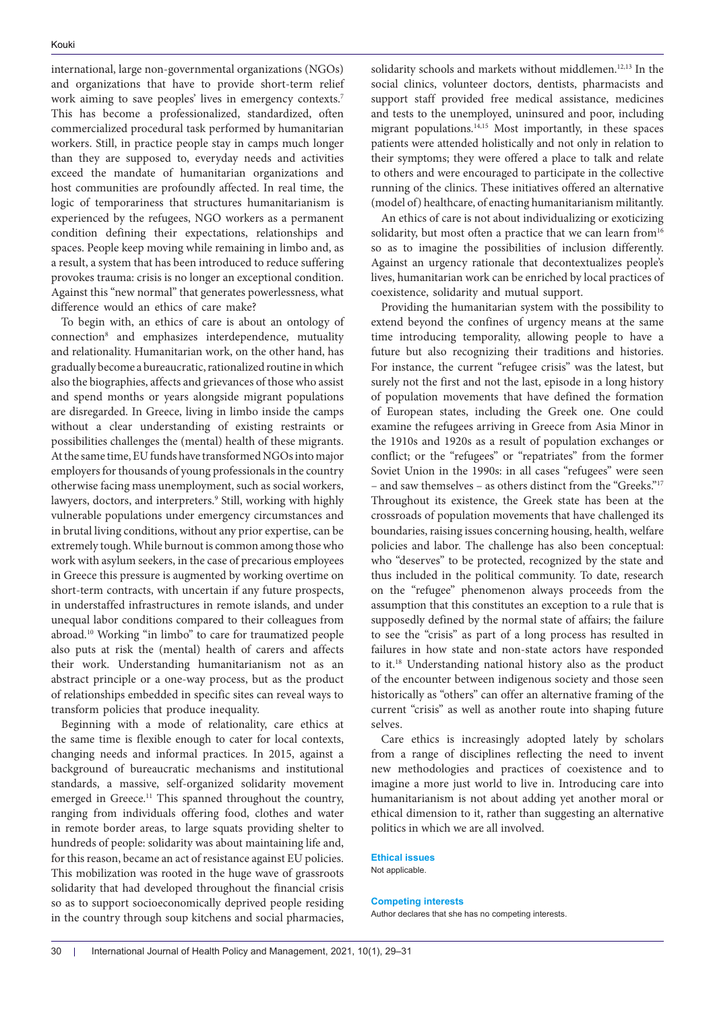international, large non-governmental organizations (NGOs) and organizations that have to provide short-term relief work aiming to save peoples' lives in emergency contexts.<sup>7</sup> This has become a professionalized, standardized, often commercialized procedural task performed by humanitarian workers. Still, in practice people stay in camps much longer than they are supposed to, everyday needs and activities exceed the mandate of humanitarian organizations and host communities are profoundly affected. In real time, the logic of temporariness that structures humanitarianism is experienced by the refugees, NGO workers as a permanent condition defining their expectations, relationships and spaces. People keep moving while remaining in limbo and, as a result, a system that has been introduced to reduce suffering provokes trauma: crisis is no longer an exceptional condition. Against this "new normal" that generates powerlessness, what difference would an ethics of care make?

To begin with, an ethics of care is about an ontology of connection8 and emphasizes interdependence, mutuality and relationality. Humanitarian work, on the other hand, has gradually become a bureaucratic, rationalized routine in which also the biographies, affects and grievances of those who assist and spend months or years alongside migrant populations are disregarded. In Greece, living in limbo inside the camps without a clear understanding of existing restraints or possibilities challenges the (mental) health of these migrants. At the same time, EU funds have transformed NGOs into major employers for thousands of young professionals in the country otherwise facing mass unemployment, such as social workers, lawyers, doctors, and interpreters.<sup>9</sup> Still, working with highly vulnerable populations under emergency circumstances and in brutal living conditions, without any prior expertise, can be extremely tough. While burnout is common among those who work with asylum seekers, in the case of precarious employees in Greece this pressure is augmented by working overtime on short-term contracts, with uncertain if any future prospects, in understaffed infrastructures in remote islands, and under unequal labor conditions compared to their colleagues from abroad.10 Working "in limbo" to care for traumatized people also puts at risk the (mental) health of carers and affects their work. Understanding humanitarianism not as an abstract principle or a one-way process, but as the product of relationships embedded in specific sites can reveal ways to transform policies that produce inequality.

Beginning with a mode of relationality, care ethics at the same time is flexible enough to cater for local contexts, changing needs and informal practices. In 2015, against a background of bureaucratic mechanisms and institutional standards, a massive, self-organized solidarity movement emerged in Greece.<sup>11</sup> This spanned throughout the country, ranging from individuals offering food, clothes and water in remote border areas, to large squats providing shelter to hundreds of people: solidarity was about maintaining life and, for this reason, became an act of resistance against EU policies. This mobilization was rooted in the huge wave of grassroots solidarity that had developed throughout the financial crisis so as to support socioeconomically deprived people residing in the country through soup kitchens and social pharmacies,

solidarity schools and markets without middlemen.<sup>12,13</sup> In the social clinics, volunteer doctors, dentists, pharmacists and support staff provided free medical assistance, medicines and tests to the unemployed, uninsured and poor, including migrant populations.14,15 Most importantly, in these spaces patients were attended holistically and not only in relation to their symptoms; they were offered a place to talk and relate to others and were encouraged to participate in the collective running of the clinics. These initiatives offered an alternative (model of) healthcare, of enacting humanitarianism militantly.

An ethics of care is not about individualizing or exoticizing solidarity, but most often a practice that we can learn from<sup>16</sup> so as to imagine the possibilities of inclusion differently. Against an urgency rationale that decontextualizes people's lives, humanitarian work can be enriched by local practices of coexistence, solidarity and mutual support.

Providing the humanitarian system with the possibility to extend beyond the confines of urgency means at the same time introducing temporality, allowing people to have a future but also recognizing their traditions and histories. For instance, the current "refugee crisis" was the latest, but surely not the first and not the last, episode in a long history of population movements that have defined the formation of European states, including the Greek one. One could examine the refugees arriving in Greece from Asia Minor in the 1910s and 1920s as a result of population exchanges or conflict; or the "refugees" or "repatriates" from the former Soviet Union in the 1990s: in all cases "refugees" were seen – and saw themselves – as others distinct from the "Greeks."17 Throughout its existence, the Greek state has been at the crossroads of population movements that have challenged its boundaries, raising issues concerning housing, health, welfare policies and labor. The challenge has also been conceptual: who "deserves" to be protected, recognized by the state and thus included in the political community. To date, research on the "refugee" phenomenon always proceeds from the assumption that this constitutes an exception to a rule that is supposedly defined by the normal state of affairs; the failure to see the "crisis" as part of a long process has resulted in failures in how state and non-state actors have responded to it.18 Understanding national history also as the product of the encounter between indigenous society and those seen historically as "others" can offer an alternative framing of the current "crisis" as well as another route into shaping future selves.

Care ethics is increasingly adopted lately by scholars from a range of disciplines reflecting the need to invent new methodologies and practices of coexistence and to imagine a more just world to live in. Introducing care into humanitarianism is not about adding yet another moral or ethical dimension to it, rather than suggesting an alternative politics in which we are all involved.

#### **Ethical issues**

Not applicable.

#### **Competing interests**

Author declares that she has no competing interests.